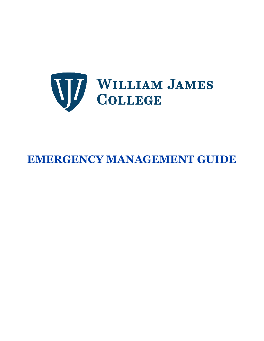

# **EMERGENCY MANAGEMENT GUIDE**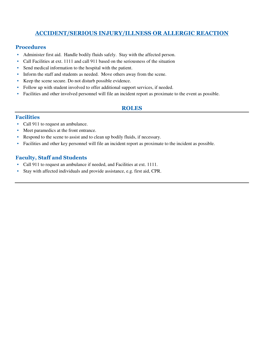# **ACCIDENT/SERIOUS INJURY/ILLNESS OR ALLERGIC REACTION**

#### **Procedures**

- Administer first aid. Handle bodily fluids safely. Stay with the affected person.
- Call Facilities at ext. 1111 and call 911 based on the seriousness of the situation
- Send medical information to the hospital with the patient.
- Inform the staff and students as needed. Move others away from the scene.
- Keep the scene secure. Do not disturb possible evidence.
- Follow up with student involved to offer additional support services, if needed.
- Facilities and other involved personnel will file an incident report as proximate to the event as possible.

#### **ROLES**

#### **Facilities**

- Call 911 to request an ambulance.
- Meet paramedics at the front entrance.
- Respond to the scene to assist and to clean up bodily fluids, if necessary.
- Facilities and other key personnel will file an incident report as proximate to the incident as possible.

- Call 911 to request an ambulance if needed, and Facilities at ext. 1111.
- Stay with affected individuals and provide assistance, e.g. first aid, CPR.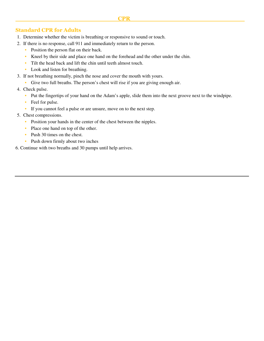#### **Standard CPR for Adults**

- 1. Determine whether the victim is breathing or responsive to sound or touch.
- 2. If there is no response, call 911 and immediately return to the person.
	- Position the person flat on their back.
	- Kneel by their side and place one hand on the forehead and the other under the chin.
	- Tilt the head back and lift the chin until teeth almost touch.
	- Look and listen for breathing.
- 3. If not breathing normally, pinch the nose and cover the mouth with yours.
	- Give two full breaths. The person's chest will rise if you are giving enough air.
- 4. Check pulse.
	- Put the fingertips of your hand on the Adam's apple, slide them into the next groove next to the windpipe.
	- Feel for pulse.
	- If you cannot feel a pulse or are unsure, move on to the next step.
- 5. Chest compressions.
	- Position your hands in the center of the chest between the nipples.
	- Place one hand on top of the other.
	- Push 30 times on the chest.
	- Push down firmly about two inches
- 6. Continue with two breaths and 30 pumps until help arrives.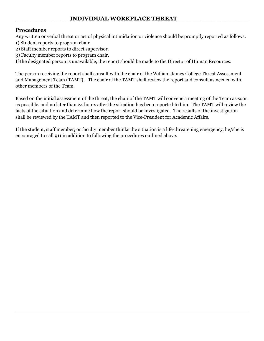# \_\_\_\_\_\_\_\_\_\_\_\_\_\_\_\_\_\_\_\_\_\_\_**INDIVIDUAL WORKPLACE THREAT\_\_\_\_\_\_\_\_\_\_\_\_\_\_\_\_\_\_**

#### **Procedures**

Any written or verbal threat or act of physical intimidation or violence should be promptly reported as follows: 1) Student reports to program chair.

- 2) Staff member reports to direct supervisor.
- 3) Faculty member reports to program chair.

If the designated person is unavailable, the report should be made to the Director of Human Resources.

The person receiving the report shall consult with the chair of the William James College Threat Assessment and Management Team (TAMT). The chair of the TAMT shall review the report and consult as needed with other members of the Team.

Based on the initial assessment of the threat, the chair of the TAMT will convene a meeting of the Team as soon as possible, and no later than 24 hours after the situation has been reported to him. The TAMT will review the facts of the situation and determine how the report should be investigated. The results of the investigation shall be reviewed by the TAMT and then reported to the Vice-President for Academic Affairs.

If the student, staff member, or faculty member thinks the situation is a life-threatening emergency, he/she is encouraged to call 911 in addition to following the procedures outlined above.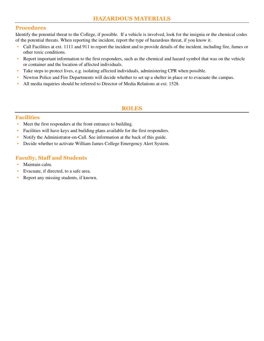#### **Procedures**

Identify the potential threat to the College, if possible. If a vehicle is involved, look for the insignia or the chemical codes of the potential threats. When reporting the incident, report the type of hazardous threat, if you know it.

- Call Facilities at ext. 1111 and 911 to report the incident and to provide details of the incident, including fire, fumes or other toxic conditions.
- Report important information to the first responders, such as the chemical and hazard symbol that was on the vehicle or container and the location of affected individuals.
- Take steps to protect lives, e.g. isolating affected individuals, administering CPR when possible.
- Newton Police and Fire Departments will decide whether to set up a shelter in place or to evacuate the campus.
- All media inquiries should be referred to Director of Media Relations at ext. 1528.

#### **ROLES**

#### **Facilities**

- Meet the first responders at the front entrance to building.
- Facilities will have keys and building plans available for the first responders.
- Notify the Administrator-on-Call. See information at the back of this guide.
- Decide whether to activate William James College Emergency Alert System.

- Maintain calm.
- Evacuate, if directed, to a safe area.
- Report any missing students, if known.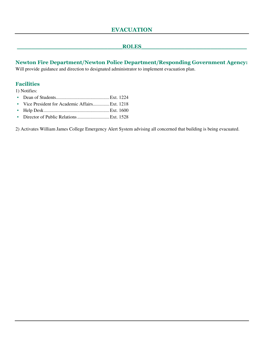#### **\_\_\_\_\_\_\_\_\_\_\_\_\_\_\_\_\_\_\_\_\_\_\_\_\_\_\_\_\_ROLES\_\_\_\_\_\_\_\_\_\_\_\_\_\_\_\_\_\_\_\_\_\_\_\_\_\_\_\_\_**

**Newton Fire Department/Newton Police Department/Responding Government Agency:**  Will provide guidance and direction to designated administrator to implement evacuation plan.

#### **Facilities**

1) Notifies:

- Dean of Students............................................. Ext. 1224
- Vice President for Academic Affairs.............. Ext. 1218
- Help Desk ....................................................... Ext. 1600
- Director of Public Relations ........................... Ext. 1528

2) Activates William James College Emergency Alert System advising all concerned that building is being evacuated.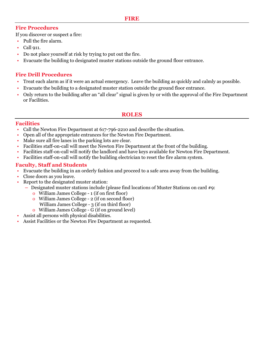#### **Fire Procedures**

If you discover or suspect a fire:

- Pull the fire alarm.
- Call 911.
- Do not place yourself at risk by trying to put out the fire.
- Evacuate the building to designated muster stations outside the ground floor entrance.

# **Fire Drill Procedures**

- Treat each alarm as if it were an actual emergency. Leave the building as quickly and calmly as possible.
- Evacuate the building to a designated muster station outside the ground floor entrance.
- Only return to the building after an "all clear" signal is given by or with the approval of the Fire Department or Facilities.

#### **ROLES**

# **Facilities**

- Call the Newton Fire Department at 617-796-2210 and describe the situation.
- Open all of the appropriate entrances for the Newton Fire Department.
- Make sure all fire lanes in the parking lots are clear.
- Facilities staff-on-call will meet the Newton Fire Department at the front of the building.
- Facilities staff-on-call will notify the landlord and have keys available for Newton Fire Department.
- Facilities staff-on-call will notify the building electrician to reset the fire alarm system.

- Evacuate the building in an orderly fashion and proceed to a safe area away from the building.
- Close doors as you leave.
- Report to the designated muster station:
	- **–** Designated muster stations include (please find locations of Muster Stations on card #9:
		- o William James College 1 (if on first floor)
		- o William James College 2 (if on second floor) William James College - 3 (if on third floor)
		- o William James College G (if on ground level)
- Assist all persons with physical disabilities.
- Assist Facilities or the Newton Fire Department as requested.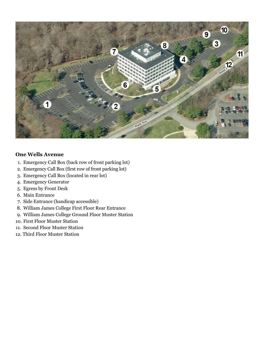

#### **One Wells Avenue**

- 1. Emergency Call Box (back row of front parking lot)
- 2. Emergency Call Box (first row of front parking lot)
- 3. Emergency Call Box (located in rear lot)
- 4. Emergency Generator
- 5. Egress by Front Desk
- 6. Main Entrance
- 7. Side Entrance (handicap accessible)
- 8. William James College First Floor Rear Entrance
- 9. William James College Ground Floor Muster Station
- 10. First Floor Muster Station
- 11. Second Floor Muster Station
- 12. Third Floor Muster Station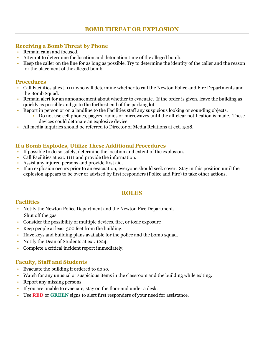## **Receiving a Bomb Threat by Phone**

- Remain calm and focused.
- Attempt to determine the location and detonation time of the alleged bomb.
- Keep the caller on the line for as long as possible. Try to determine the identity of the caller and the reason for the placement of the alleged bomb.

#### **Procedures**

- Call Facilities at ext. 1111 who will determine whether to call the Newton Police and Fire Departments and the Bomb Squad.
- Remain alert for an announcement about whether to evacuate. If the order is given, leave the building as quickly as possible and go to the furthest end of the parking lot.
- Report in person or on a landline to the Facilities staff any suspicious looking or sounding objects.
	- Do not use cell phones, pagers, radios or microwaves until the all-clear notification is made. These devices could detonate an explosive device.
- All media inquiries should be referred to Director of Media Relations at ext. 1528.

#### **If a Bomb Explodes, Utilize These Additional Procedures**

- If possible to do so safely, determine the location and extent of the explosion.
- Call Facilities at ext. 1111 and provide the information.
- Assist any injured persons and provide first aid.
- If an explosion occurs prior to an evacuation, everyone should seek cover. Stay in this position until the explosion appears to be over or advised by first responders (Police and Fire) to take other actions.

#### **ROLES**

#### **Facilities**

- Notify the Newton Police Department and the Newton Fire Department. Shut off the gas
- Consider the possibility of multiple devices, fire, or toxic exposure
- Keep people at least 300 feet from the building.
- Have keys and building plans available for the police and the bomb squad.
- Notify the Dean of Students at ext. 1224.
- Complete a critical incident report immediately.

- Evacuate the building if ordered to do so.
- Watch for any unusual or suspicious items in the classroom and the building while exiting.
- Report any missing persons.
- If you are unable to evacuate, stay on the floor and under a desk.
- Use **RED** or **GREEN** signs to alert first responders of your need for assistance.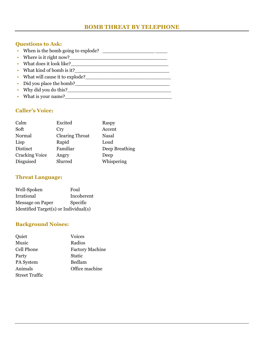# **BOMB THREAT BY TELEPHONE**

# **Questions to Ask:**

| • When is the bomb going to explode? |
|--------------------------------------|
| • Where is it right now?             |
| • What does it look like?            |
| • What kind of bomb is it?           |
| • What will cause it to explode?     |
| • Did you place the bomb?            |
| • Why did you do this?               |
| • What is your name?                 |

## **Caller's Voice:**

| Excited<br>Calm                        | Raspy          |
|----------------------------------------|----------------|
| Soft<br>Cry                            | Accent         |
| <b>Clearing Throat</b><br>Normal       | <b>Nasal</b>   |
| Rapid<br>Lisp<br>Loud                  |                |
| Distinct<br>Familiar                   | Deep Breathing |
| <b>Cracking Voice</b><br>Angry<br>Deep |                |
| Disguised<br>Slurred                   | Whispering     |

## **Threat Language:**

| Well-Spoken                           | Foul       |  |
|---------------------------------------|------------|--|
| Irrational                            | Incoherent |  |
| <b>Message on Paper</b>               | Specific   |  |
| Identified Target(s) or Individual(s) |            |  |

# **Background Noises:**

| Quiet                 | <b>Voices</b>          |
|-----------------------|------------------------|
| Music                 | Radios                 |
| <b>Cell Phone</b>     | <b>Factory Machine</b> |
| Party                 | <b>Static</b>          |
| PA System             | Bedlam                 |
| Animals               | Office machine         |
| <b>Street Traffic</b> |                        |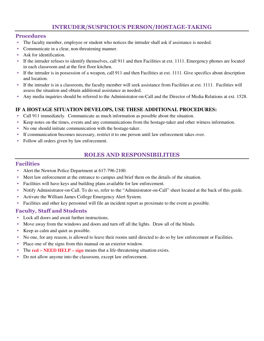# **INTRUDER/SUSPICIOUS PERSON/HOSTAGE-TAKING**

#### **Procedures**

- The faculty member, employee or student who notices the intruder shall ask if assistance is needed.
- Communicate in a clear, non-threatening manner.
- Ask for identification.
- If the intruder refuses to identify themselves, call 911 and then Facilities at ext. 1111. Emergency phones are located in each classroom and at the first floor kitchen.
- If the intruder is in possession of a weapon, call 911 and then Facilities at ext. 1111. Give specifics about description and location.
- If the intruder is in a classroom, the faculty member will seek assistance from Facilities at ext. 1111. Facilities will assess the situation and obtain additional assistance as needed.
- Any media inquiries should be referred to the Administrator-on-Call and the Director of Media Relations at ext. 1528.

#### **IF A HOSTAGE SITUATION DEVELOPS, USE THESE ADDITIONAL PROCEDURES:**

- Call 911 immediately. Communicate as much information as possible about the situation.
- Keep notes on the times, events and any communications from the hostage-taker and other witness information.
- No one should initiate communication with the hostage-taker.
- If communication becomes necessary, restrict it to one person until law enforcement takes over.
- Follow all orders given by law enforcement.

#### **ROLES AND RESPONSIBILITIES**

#### **Facilities**

- Alert the Newton Police Department at 617-796-2100.
- Meet law enforcement at the entrance to campus and brief them on the details of the situation.
- Facilities will have keys and building plans available for law enforcement.
- Notify Administrator-on-Call. To do so, refer to the "Administrator-on-Call" sheet located at the back of this guide.
- Activate the William James College Emergency Alert System.
- Facilities and other key personnel will file an incident report as proximate to the event as possible.

- Lock all doors and await further instructions.
- Move away from the windows and doors and turn off all the lights. Draw all of the blinds.
- Keep as calm and quiet as possible.
- No one, for any reason, is allowed to leave their rooms until directed to do so by law enforcement or Facilities.
- Place one of the signs from this manual on an exterior window.
- The **red NEED HELP sign** means that a life-threatening situation exists.
- Do not allow anyone into the classroom, except law enforcement.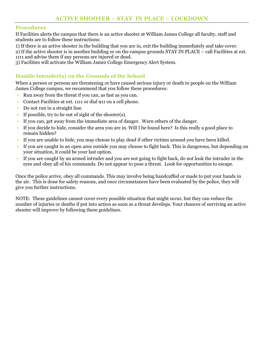#### **Procedures**

If Facilities alerts the campus that there is an active shooter at William James College all faculty, staff and students are to follow these instructions:

1) If there is an active shooter in the building that you are in, exit the building immediately and take cover.

2) If the active shooter is in another building or on the campus grounds STAY IN PLACE – call Facilities at ext. 1111 and advise them if any persons are injured or dead.

3) Facilities will activate the William James College Emergency Alert System.

# **Hostile Intruder(s) on the Grounds of the School**

When a person or persons are threatening or have caused serious injury or death to people on the William James College campus, we recommend that you follow these procedures:

- Run away from the threat if you can, as fast as you can.
- Contact Facilities at ext. 1111 or dial 911 on a cell phone.
- Do not run in a straight line.
- If possible, try to be out of sight of the shooter $(s)$ .
- If you can, get away from the immediate area of danger. Warn others of the danger.
- If you decide to hide, consider the area you are in. Will I be found here? Is this really a good place to remain hidden?
- If you are unable to hide, you may choose to play dead if other victims around you have been killed.
- If you are caught in an open area outside you may choose to fight back. This is dangerous, but depending on your situation, it could be your last option.
- If you are caught by an armed intruder and you are not going to fight back, do not look the intruder in the eyes and obey all of his commands. Do not appear to pose a threat. Look for opportunities to escape.

Once the police arrive, obey all commands. This may involve being handcuffed or made to put your hands in the air. This is done for safety reasons, and once circumstances have been evaluated by the police, they will give you further instructions.

NOTE: These guidelines cannot cover every possible situation that might occur, but they can reduce the number of injuries or deaths if put into action as soon as a threat develops. Your chances of surviving an active shooter will improve by following these guidelines.